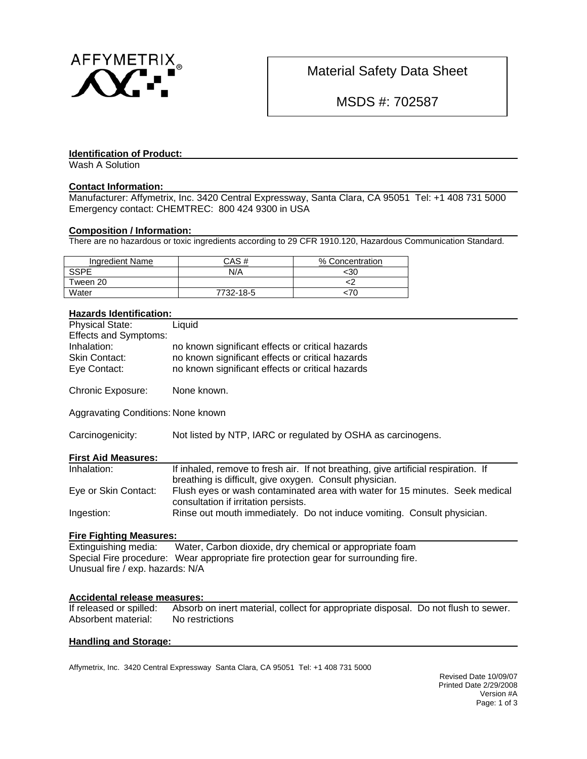

Material Safety Data Sheet

MSDS #: 702587

#### **Identification of Product:**

Wash A Solution

# **Contact Information:**

Manufacturer: Affymetrix, Inc. 3420 Central Expressway, Santa Clara, CA 95051 Tel: +1 408 731 5000 Emergency contact: CHEMTREC: 800 424 9300 in USA

# **Composition / Information:**

There are no hazardous or toxic ingredients according to 29 CFR 1910.120, Hazardous Communication Standard.

| Ingredient Name | CAS #     | % Concentration |
|-----------------|-----------|-----------------|
| <b>SSPE</b>     | N/A       | 30ء             |
| Tween 20        |           |                 |
| Water           | 7732-18-5 | :7U             |

## **Hazards Identification:**

| <b>Physical State:</b>             | Liquid                                                                                                                                        |
|------------------------------------|-----------------------------------------------------------------------------------------------------------------------------------------------|
| <b>Effects and Symptoms:</b>       |                                                                                                                                               |
| Inhalation:                        | no known significant effects or critical hazards                                                                                              |
| Skin Contact:                      | no known significant effects or critical hazards                                                                                              |
| Eye Contact:                       | no known significant effects or critical hazards                                                                                              |
| Chronic Exposure:                  | None known.                                                                                                                                   |
| Aggravating Conditions: None known |                                                                                                                                               |
| Carcinogenicity:                   | Not listed by NTP, IARC or regulated by OSHA as carcinogens.                                                                                  |
| <b>First Aid Measures:</b>         |                                                                                                                                               |
| Inhalation:                        | If inhaled, remove to fresh air. If not breathing, give artificial respiration. If<br>breathing is difficult, give oxygen. Consult physician. |
| Eye or Skin Contact:               | Flush eyes or wash contaminated area with water for 15 minutes. Seek medical<br>consultation if irritation persists.                          |
| Ingestion:                         | Rinse out mouth immediately. Do not induce vomiting. Consult physician.                                                                       |
| <b>Fire Fighting Measures:</b>     |                                                                                                                                               |

Extinguishing media: Water, Carbon dioxide, dry chemical or appropriate foam Special Fire procedure: Wear appropriate fire protection gear for surrounding fire. Unusual fire / exp. hazards: N/A

# **Accidental release measures:**<br>If released or spilled: Absorb

Absorb on inert material, collect for appropriate disposal. Do not flush to sewer. Absorbent material: No restrictions

#### **Handling and Storage:**

Affymetrix, Inc. 3420 Central Expressway Santa Clara, CA 95051 Tel: +1 408 731 5000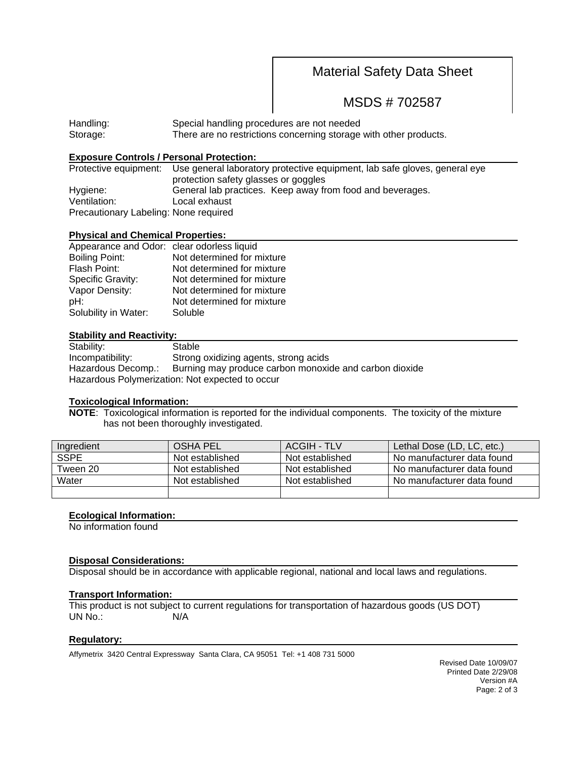# Material Safety Data Sheet

MSDS # 702587

Handling: Special handling procedures are not needed Storage: There are no restrictions concerning storage with other products.

# **Exposure Controls / Personal Protection:**

|                                       | Protective equipment: Use general laboratory protective equipment, lab safe gloves, general eye |  |  |
|---------------------------------------|-------------------------------------------------------------------------------------------------|--|--|
|                                       | protection safety glasses or goggles                                                            |  |  |
| Hygiene:                              | General lab practices. Keep away from food and beverages.                                       |  |  |
| Ventilation:                          | Local exhaust                                                                                   |  |  |
| Precautionary Labeling: None required |                                                                                                 |  |  |

#### **Physical and Chemical Properties:**

| Appearance and Odor: clear odorless liquid |                            |
|--------------------------------------------|----------------------------|
| <b>Boiling Point:</b>                      | Not determined for mixture |
| Flash Point:                               | Not determined for mixture |
| Specific Gravity:                          | Not determined for mixture |
| Vapor Density:                             | Not determined for mixture |
| pH:                                        | Not determined for mixture |
| Solubility in Water:                       | Soluble                    |

#### **Stability and Reactivity:**

| Stability:                                      | Stable                                                 |  |  |  |
|-------------------------------------------------|--------------------------------------------------------|--|--|--|
| Incompatibility:                                | Strong oxidizing agents, strong acids                  |  |  |  |
| Hazardous Decomp.:                              | Burning may produce carbon monoxide and carbon dioxide |  |  |  |
| Hazardous Polymerization: Not expected to occur |                                                        |  |  |  |

#### **Toxicological Information:**

**NOTE**: Toxicological information is reported for the individual components. The toxicity of the mixture has not been thoroughly investigated.

| Ingredient  | <b>OSHA PEL</b> | ACGIH - TLV     | Lethal Dose (LD, LC, etc.) |
|-------------|-----------------|-----------------|----------------------------|
| <b>SSPE</b> | Not established | Not established | No manufacturer data found |
| Tween 20    | Not established | Not established | No manufacturer data found |
| Water       | Not established | Not established | No manufacturer data found |
|             |                 |                 |                            |

## **Ecological Information:**

No information found

## **Disposal Considerations:**

Disposal should be in accordance with applicable regional, national and local laws and regulations.

#### **Transport Information:**

This product is not subject to current regulations for transportation of hazardous goods (US DOT) UN No.: N/A

## **Regulatory:**

Affymetrix 3420 Central Expressway Santa Clara, CA 95051 Tel: +1 408 731 5000